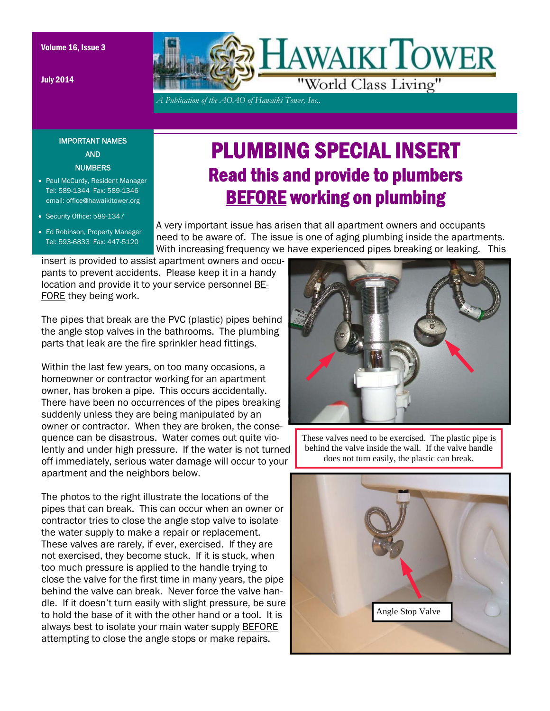July 2014



*A Publication of the AOAO of Hawaiki Tower, Inc..* 

## IMPORTANT NAMES AND **NUMBERS**

- Paul McCurdy, Resident Manager Tel: 589-1344 Fax: 589-1346 email: office@hawaikitower.org
- Security Office: 589-1347
- Ed Robinson, Property Manager Tel: 593-6833 Fax: 447-5120

## PLUMBING SPECIAL INSERT Read this and provide to plumbers BEFORE working on plumbing

A very important issue has arisen that all apartment owners and occupants need to be aware of. The issue is one of aging plumbing inside the apartments. With increasing frequency we have experienced pipes breaking or leaking. This

insert is provided to assist apartment owners and occupants to prevent accidents. Please keep it in a handy location and provide it to your service personnel BE-FORE they being work.

The pipes that break are the PVC (plastic) pipes behind the angle stop valves in the bathrooms. The plumbing parts that leak are the fire sprinkler head fittings.

Within the last few years, on too many occasions, a homeowner or contractor working for an apartment owner, has broken a pipe. This occurs accidentally. There have been no occurrences of the pipes breaking suddenly unless they are being manipulated by an owner or contractor. When they are broken, the consequence can be disastrous. Water comes out quite violently and under high pressure. If the water is not turned off immediately, serious water damage will occur to your apartment and the neighbors below.

The photos to the right illustrate the locations of the pipes that can break. This can occur when an owner or contractor tries to close the angle stop valve to isolate the water supply to make a repair or replacement. These valves are rarely, if ever, exercised. If they are not exercised, they become stuck. If it is stuck, when too much pressure is applied to the handle trying to close the valve for the first time in many years, the pipe behind the valve can break. Never force the valve handle. If it doesn't turn easily with slight pressure, be sure to hold the base of it with the other hand or a tool. It is always best to isolate your main water supply BEFORE attempting to close the angle stops or make repairs.



These valves need to be exercised. The plastic pipe is behind the valve inside the wall. If the valve handle does not turn easily, the plastic can break.